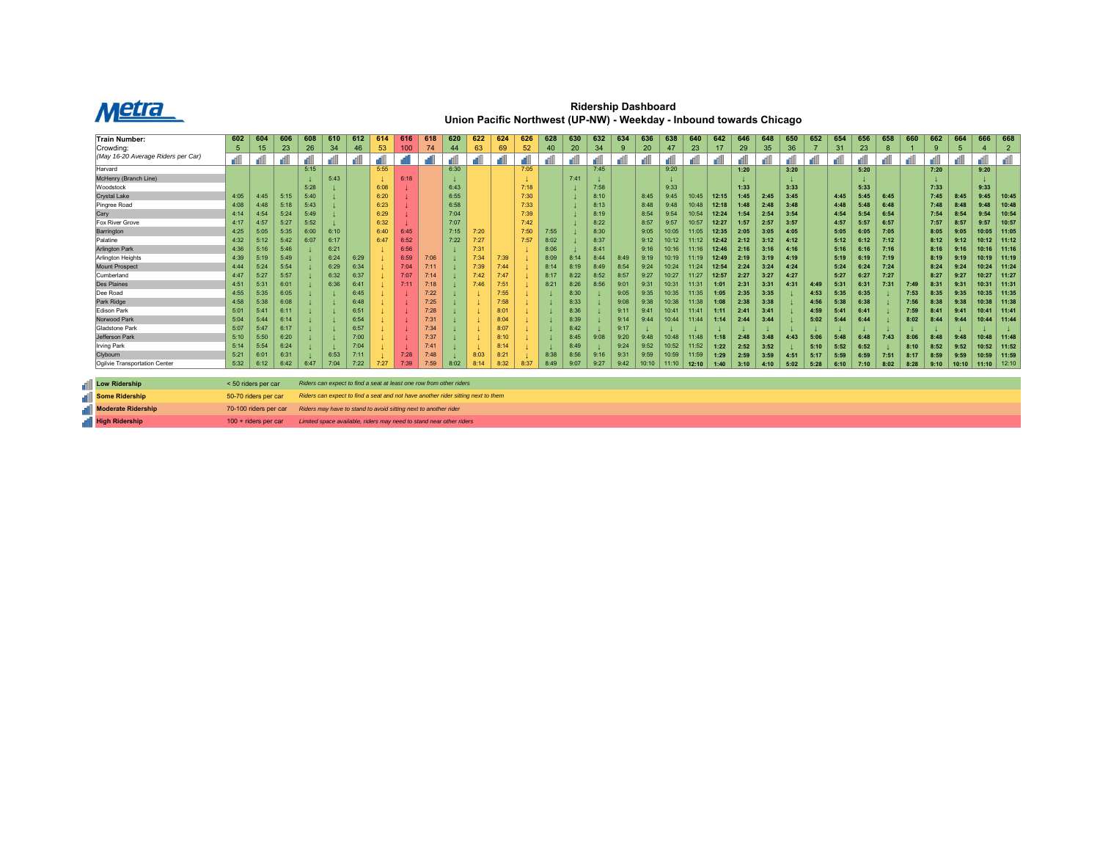

**Ridership Dashboard Union Pacific Northwest (UP-NW) - Weekday - Inbound towards Chicago**

| <b>Train Number:</b>                 | 602                   | 604  | 606  | 608  | 610  | 612  | 614                                                                              | 616  | 618  | 620  | 622  | 624  | 626  | 628  | 630  | 632  | 634  | 636   | 638            | 640   | 642   | 646  | 648  | 650  | 652  | 654  | 656  | 658  | 660  | 662  | 664   | 666   | 668            |
|--------------------------------------|-----------------------|------|------|------|------|------|----------------------------------------------------------------------------------|------|------|------|------|------|------|------|------|------|------|-------|----------------|-------|-------|------|------|------|------|------|------|------|------|------|-------|-------|----------------|
| Crowdina:                            | 5                     | 15   | 23   | 26   | 34   | 46   | 53                                                                               | 100  | 74   | 44   | 63   | 69   | 52   | 40   | 20   | 34   | 9    | 20    | 47             | 23    | 17    | 29   | 35   | 36   |      | 31   | 23   | 8    |      | 9    |       |       | $\overline{2}$ |
| (May 16-20 Average Riders per Car)   |                       |      |      |      |      |      |                                                                                  |      |      |      |      |      |      |      |      |      |      |       |                |       |       |      |      |      |      |      |      |      |      |      |       |       | all            |
| Harvard                              |                       |      |      | 5:15 |      |      | 5:55                                                                             |      |      | 6:30 |      |      | 7:05 |      |      | 7:45 |      |       | 9:20           |       |       | 1:20 |      | 3:20 |      |      | 5:20 |      |      | 7:20 |       | 9:20  |                |
| McHenry (Branch Line)                |                       |      |      |      | 5:43 |      |                                                                                  | 6:18 |      |      |      |      |      |      | 7:41 |      |      |       |                |       |       |      |      |      |      |      |      |      |      |      |       |       |                |
| Woodstock                            |                       |      |      | 5:28 |      |      | 6:08                                                                             |      |      | 6:43 |      |      | 7:18 |      |      | 7:58 |      |       | 9:33           |       |       | 1:33 |      | 3:33 |      |      | 5:33 |      |      | 7:33 |       | 9:33  |                |
| Crystal Lake                         | 4:05                  | 4:45 | 5:15 | 5:40 |      |      | 6:20                                                                             |      |      | 6:55 |      |      | 7:30 |      |      | 8:10 |      | 8:45  | 9:45           | 10:45 | 12:15 | 1:45 | 2:45 | 3:45 |      | 4:45 | 5:45 | 6:45 |      | 7:45 | 8:45  | 9:45  | 10:45          |
| Pingree Road                         | 4:08                  | 4:48 | 5:18 | 5:43 |      |      | 6:23                                                                             |      |      | 6:58 |      |      | 7:33 |      |      | 8:13 |      | 8:48  | 9:48           | 10:48 | 12:18 | 1:48 | 2:48 | 3:48 |      | 4:48 | 5:48 | 6:48 |      | 7:48 | 8:48  | 9:48  | 10:48          |
| Cary                                 | 4:14                  | 4:54 | 5:24 | 5:49 |      |      | 6:29                                                                             |      |      | 7:04 |      |      | 7:39 |      |      | 8:19 |      | 8:54  | 9:54           | 10:54 | 12:24 | 1:54 | 2:54 | 3:54 |      | 4:54 | 5:54 | 6:54 |      | 7:54 |       | 9:54  | 10:54          |
| <b>Fox River Grove</b>               | 4:17                  | 4:57 | 5:27 | 5:52 |      |      | 6:32                                                                             |      |      | 7:07 |      |      | 7:42 |      |      | 8:22 |      | 8:57  | 9:57           | 10:57 | 12:27 | 1:57 | 2:57 | 3:57 |      | 4:57 | 5:57 | 6:57 |      | 7:57 | 8:57  | 9:57  | 10:57          |
| Barrington                           | 4:25                  | 5:05 | 5:35 | 6:00 | 6:10 |      | 6:40                                                                             | 6:45 |      | 7:15 | 7:20 |      | 7:50 | 7:55 |      | 8:30 |      | 9:05  | 10:05          | 11:05 | 12:35 | 2:05 | 3:05 | 4:05 |      | 5:05 | 6:05 | 7:05 |      | 8:05 | 9:05  | 10:05 | 11:05          |
| Palatine                             | 4:32                  | 5:12 | 5:42 | 6:07 | 6:17 |      | 6:47                                                                             | 6:52 |      | 7:22 | 7:27 |      | 7:57 | 8:02 |      | 8:37 |      | 9:12  | 10:12          |       | 12:42 | 2:12 | 3:12 | 4:12 |      | 5:12 | 6:12 | 7:12 |      | 8:12 | 9:12  | 10:12 | 11:12          |
| <b>Arlington Park</b>                | 4:36                  | 5:16 | 5:46 |      | 6:21 |      |                                                                                  | 6:56 |      |      | 7:31 |      |      | 8:06 |      | 8:41 |      | 9:16  | 10:16          |       | 12:46 | 2:16 | 3:16 | 4:16 |      | 5:16 | 6:16 | 7:16 |      | 8:16 |       | 10:16 | 11:16          |
| Arlington Heights                    | 4:39                  | 5:19 | 5:49 |      | 6:24 | 6:29 |                                                                                  | 6:59 | 7:06 |      | 7:34 | 7:39 |      | 8:09 | 8:14 | 8:44 | 8:49 | 9:19  | 10:19          | 11:19 | 12:49 | 2:19 | 3:19 | 4:19 |      | 5:19 | 6:19 | 7:19 |      | 8:19 | 9:19  | 10:19 | 11:19          |
| Mount Prospect                       | 4:44                  | 5:24 | 5:54 |      | 6:29 | 6:34 |                                                                                  | 7:04 |      |      | 7:39 | 7:44 |      | 8:14 | 8:19 | 8:49 | 8:54 | 9:24  | 10:24          | 11:24 | 12:54 | 2:24 | 3:24 | 4:24 |      | 5:24 | 6:24 | 7:24 |      | 8:24 | 9:24  | 10:24 | 11:24          |
| Cumberland                           | 4:47                  | 5:27 | 5:57 |      | 6:32 | 6:37 |                                                                                  | 7:07 |      |      | 7:42 | 7:47 |      | 8:17 | 8:22 | 8:52 | 8:57 | 9:27  | 10:27          | 11:27 | 12:57 | 2:27 | 3:27 | 4:27 |      | 5:27 | 6:27 | 7:27 |      | 8:27 | 9:27  | 10:27 | 11:27          |
| <b>Des Plaines</b>                   | 4:51                  | 5:31 | 6:01 |      | 6:36 | 6:41 |                                                                                  |      | 7:18 |      | 7:46 | 7:51 |      | 8:21 | 8:26 | 8:56 | 9:01 | 9:31  | $10:3^{\circ}$ | 11:31 | 1:01  | 2:31 | 3:31 | 4:31 | 4:49 | 5:31 | 6:31 | 7:31 | 7:49 | 8:31 | 9:31  | 10:31 | 11:31          |
| Dee Road                             | 4:55                  | 5:35 | 6:05 |      |      | 6:45 |                                                                                  |      | 7:22 |      |      | 7:55 |      |      | 8:30 |      | 9:05 | 9:35  | 10:35          | 11:35 | 1:05  | 2:35 | 3:35 |      | 4:53 | 5:35 | 6:35 |      | 7:53 | 8:35 | 9:35  | 10:35 | 11:35          |
| Park Ridge                           | 4:58                  | 5:38 | 6:08 |      |      | 6:48 |                                                                                  |      | 7:25 |      |      | 7:58 |      |      | 8:33 |      | 9:08 | 9:38  | 10:38          | 11:38 | 1:08  | 2:38 | 3:38 |      | 4:56 | 5:38 | 6:38 |      | 7:56 | 8:38 | 9:38  | 10:38 | 11:38          |
| Edison Park                          | 5:01                  | 5:41 | 6:11 |      |      | 6:51 |                                                                                  |      | 7:28 |      |      | 8:01 |      |      | 8:36 |      | 9:11 | 9:41  | 10:4           | 11:4' | 1:11  | 2:41 | 3:41 |      | 4:59 | 5:41 | 6:41 |      | 7:59 | 8:41 | 9:41  | 10:41 | 11:41          |
| Norwood Park                         | 5:04                  | 5:44 | 6:14 |      |      | 6:54 |                                                                                  |      | 7:31 |      |      | 8:04 |      |      | 8:39 |      | 9:14 | 9:44  | 10:44          | 11:44 | 1:14  | 2:44 | 3:44 |      | 5:02 | 5:44 | 6:44 |      | 8:02 | 8:44 | 9:44  | 10:44 | 11:44          |
| Gladstone Park                       | 5:07                  | 5:47 | 6:17 |      |      | 6:57 |                                                                                  |      | 7:34 |      |      | 8:07 |      |      | 8:42 |      | 9:17 |       |                |       |       |      |      |      |      |      |      |      |      |      |       |       |                |
| Jefferson Park                       | 5:10                  | 5:50 | 6:20 |      |      | 7:00 |                                                                                  |      | 7:37 |      |      | 8:10 |      |      | 8:45 | 9:08 | 9:20 | 9:48  | 10:48          | 11:48 | 1:18  | 2:48 | 3:48 | 4:43 | 5:06 | 5:48 | 6:48 | 7:43 | 8:06 | 8:48 | 9:48  | 10:48 | 11:48          |
| Irving Park                          | 5:14                  | 5:54 | 6:24 |      |      | 7:04 |                                                                                  |      |      |      |      | 8:14 |      |      | 8:49 |      | 9:24 | 9:52  | 10:52          | 11:52 | 1:22  | 2:52 | 3:52 |      | 5:10 | 5:52 | 6:52 |      | 8:10 | 8:52 | 9:52  | 10:52 | 11:52          |
| Clybourn                             | 5:21                  | 6:01 | 6:31 |      | 6:53 | 7:11 |                                                                                  | 7:28 | 7:48 |      | 8:03 | 8:21 |      | 8:38 | 8:56 | 9:16 | 9:31 | 9:59  | 10:59          | 11:59 | 1:29  | 2:59 | 3:59 | 4:51 | 5:17 | 5:59 | 6:59 | 7:51 | 8:17 | 8:59 | 9:59  | 10:59 | 11:59          |
| <b>Oailvie Transportation Center</b> | 5:32                  | 6:12 | 6:42 | 6:47 | 7:04 | 7:22 | 7:27                                                                             | 7:39 | 7:59 | 8:02 | 8:14 | 8:32 | 8:37 | 8:49 | 9:07 | 9:27 | 9:42 | 10:10 | 11:10          | 12:10 | 1:40  | 3:10 | 4:10 | 5:02 | 5:28 | 6:10 | 7:10 | 8:02 | 8:28 | 9:10 | 10:10 | 11:10 | 12:10          |
|                                      |                       |      |      |      |      |      |                                                                                  |      |      |      |      |      |      |      |      |      |      |       |                |       |       |      |      |      |      |      |      |      |      |      |       |       |                |
| <b>Low Ridership</b>                 | < 50 riders per car   |      |      |      |      |      | Riders can expect to find a seat at least one row from other riders              |      |      |      |      |      |      |      |      |      |      |       |                |       |       |      |      |      |      |      |      |      |      |      |       |       |                |
| Some Ridership                       | 50-70 riders per car  |      |      |      |      |      | Riders can expect to find a seat and not have another rider sitting next to them |      |      |      |      |      |      |      |      |      |      |       |                |       |       |      |      |      |      |      |      |      |      |      |       |       |                |
| <b>Moderate Ridership</b>            | 70-100 riders per car |      |      |      |      |      | Riders may have to stand to avoid sitting next to another rider                  |      |      |      |      |      |      |      |      |      |      |       |                |       |       |      |      |      |      |      |      |      |      |      |       |       |                |
| <b>High Ridership</b>                | 100 + riders per car  |      |      |      |      |      | Limited space available, riders may need to stand near other riders              |      |      |      |      |      |      |      |      |      |      |       |                |       |       |      |      |      |      |      |      |      |      |      |       |       |                |